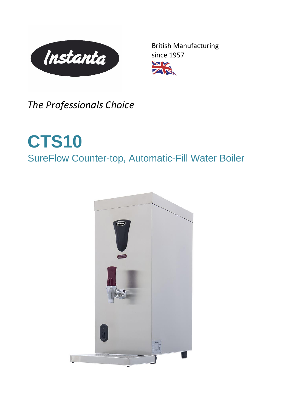

British Manufacturing since 1957W



*The Professionals Choice*

## **CTS10** SureFlow Counter-top, Automatic-Fill Water Boiler